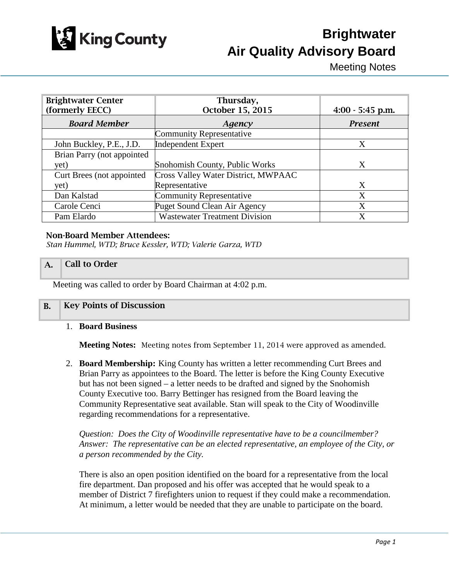

# **Brightwater Air Quality Advisory Board**

Meeting Notes

| <b>Brightwater Center</b><br>(formerly EECC) | Thursday,<br>October 15, 2015        | $4:00 - 5:45$ p.m. |
|----------------------------------------------|--------------------------------------|--------------------|
| <b>Board Member</b>                          | Agency                               | <b>Present</b>     |
|                                              | <b>Community Representative</b>      |                    |
| John Buckley, P.E., J.D.                     | <b>Independent Expert</b>            | X                  |
| Brian Parry (not appointed                   |                                      |                    |
| yet)                                         | Snohomish County, Public Works       | X                  |
| Curt Brees (not appointed)                   | Cross Valley Water District, MWPAAC  |                    |
| yet)                                         | Representative                       | X                  |
| Dan Kalstad                                  | <b>Community Representative</b>      | X                  |
| Carole Cenci                                 | Puget Sound Clean Air Agency         | X                  |
| Pam Elardo                                   | <b>Wastewater Treatment Division</b> | X                  |

#### Non-Board Member Attendees:

*Stan Hummel, WTD; Bruce Kessler, WTD; Valerie Garza, WTD*

#### A. Call to Order

Meeting was called to order by Board Chairman at 4:02 p.m.

#### B. Key Points of Discussion

#### 1. **Board Business**

**Meeting Notes:** Meeting notes from September 11, 2014 were approved as amended.

2. **Board Membership:** King County has written a letter recommending Curt Brees and Brian Parry as appointees to the Board. The letter is before the King County Executive but has not been signed – a letter needs to be drafted and signed by the Snohomish County Executive too. Barry Bettinger has resigned from the Board leaving the Community Representative seat available. Stan will speak to the City of Woodinville regarding recommendations for a representative.

*Question: Does the City of Woodinville representative have to be a councilmember? Answer: The representative can be an elected representative, an employee of the City, or a person recommended by the City.*

There is also an open position identified on the board for a representative from the local fire department. Dan proposed and his offer was accepted that he would speak to a member of District 7 firefighters union to request if they could make a recommendation. At minimum, a letter would be needed that they are unable to participate on the board.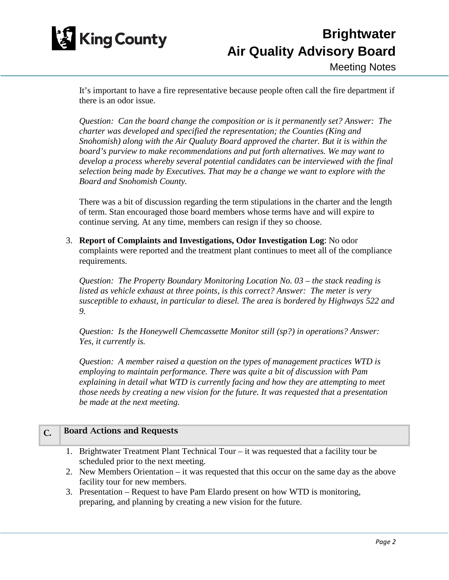

It's important to have a fire representative because people often call the fire department if there is an odor issue.

*Question: Can the board change the composition or is it permanently set? Answer: The charter was developed and specified the representation; the Counties (King and Snohomish) along with the Air Qualuty Board approved the charter. But it is within the board's purview to make recommendations and put forth alternatives. We may want to develop a process whereby several potential candidates can be interviewed with the final selection being made by Executives. That may be a change we want to explore with the Board and Snohomish County.*

There was a bit of discussion regarding the term stipulations in the charter and the length of term. Stan encouraged those board members whose terms have and will expire to continue serving. At any time, members can resign if they so choose.

3. **Report of Complaints and Investigations, Odor Investigation Log**: No odor complaints were reported and the treatment plant continues to meet all of the compliance requirements.

*Question: The Property Boundary Monitoring Location No. 03 – the stack reading is listed as vehicle exhaust at three points, is this correct? Answer: The meter is very susceptible to exhaust, in particular to diesel. The area is bordered by Highways 522 and 9.* 

*Question: Is the Honeywell Chemcassette Monitor still (sp?) in operations? Answer: Yes, it currently is.* 

*Question: A member raised a question on the types of management practices WTD is employing to maintain performance. There was quite a bit of discussion with Pam explaining in detail what WTD is currently facing and how they are attempting to meet those needs by creating a new vision for the future. It was requested that a presentation be made at the next meeting.*

### C. Board Actions and Requests

- 1. Brightwater Treatment Plant Technical Tour it was requested that a facility tour be scheduled prior to the next meeting.
- 2. New Members Orientation it was requested that this occur on the same day as the above facility tour for new members.
- 3. Presentation Request to have Pam Elardo present on how WTD is monitoring, preparing, and planning by creating a new vision for the future.